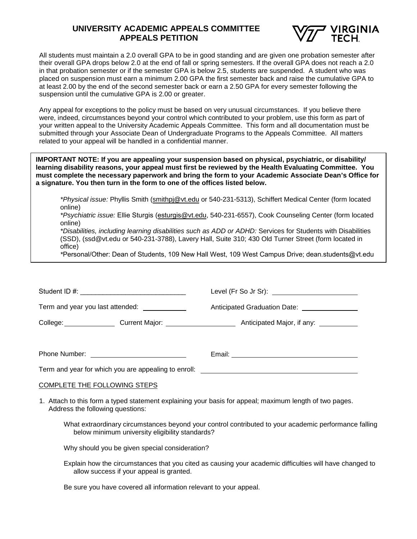## **UNIVERSITY ACADEMIC APPEALS COMMITTEE APPEALS PETITION**



All students must maintain a 2.0 overall GPA to be in good standing and are given one probation semester after their overall GPA drops below 2.0 at the end of fall or spring semesters. If the overall GPA does not reach a 2.0 in that probation semester or if the semester GPA is below 2.5, students are suspended. A student who was placed on suspension must earn a minimum 2.00 GPA the first semester back and raise the cumulative GPA to at least 2.00 by the end of the second semester back or earn a 2.50 GPA for every semester following the suspension until the cumulative GPA is 2.00 or greater.

Any appeal for exceptions to the policy must be based on very unusual circumstances. If you believe there were, indeed, circumstances beyond your control which contributed to your problem, use this form as part of your written appeal to the University Academic Appeals Committee. This form and all documentation must be submitted through your Associate Dean of Undergraduate Programs to the Appeals Committee. All matters related to your appeal will be handled in a confidential manner.

**IMPORTANT NOTE: If you are appealing your suspension based on physical, psychiatric, or disability/ learning disability reasons, your appeal must first be reviewed by the Health Evaluating Committee. You must complete the necessary paperwork and bring the form to your Academic Associate Dean's Office for a signature. You then turn in the form to one of the offices listed below.**

*\*Physical issue:* Phyllis Smith (smithpj@vt.edu or 540-231-5313), Schiffert Medical Center (form located online)

*\*Psychiatric issue:* Ellie Sturgis (esturgis@vt.edu, 540-231-6557), Cook Counseling Center (form located online)

*\*Disabilities, including learning disabilities such as ADD or ADHD:* Services for Students with Disabilities (SSD), (ssd@vt.edu or 540-231-3788), Lavery Hall, Suite 310; 430 Old Turner Street (form located in office)

*\**Personal/Other: Dean of Students, 109 New Hall West, 109 West Campus Drive; dean.students@vt.edu

| Student ID #: <u>__________________________________</u>                          |                                                |  |  |
|----------------------------------------------------------------------------------|------------------------------------------------|--|--|
| Term and year you last attended: _____________                                   | Anticipated Graduation Date: _________________ |  |  |
|                                                                                  |                                                |  |  |
|                                                                                  |                                                |  |  |
| Phone Number: <u>_________________________</u>                                   |                                                |  |  |
| Term and year for which you are appealing to enroll: ___________________________ |                                                |  |  |

## COMPLETE THE FOLLOWING STEPS

- 1. Attach to this form a typed statement explaining your basis for appeal; maximum length of two pages. Address the following questions:
	- What extraordinary circumstances beyond your control contributed to your academic performance falling below minimum university eligibility standards?
	- Why should you be given special consideration?
	- Explain how the circumstances that you cited as causing your academic difficulties will have changed to allow success if your appeal is granted.

Be sure you have covered all information relevant to your appeal.